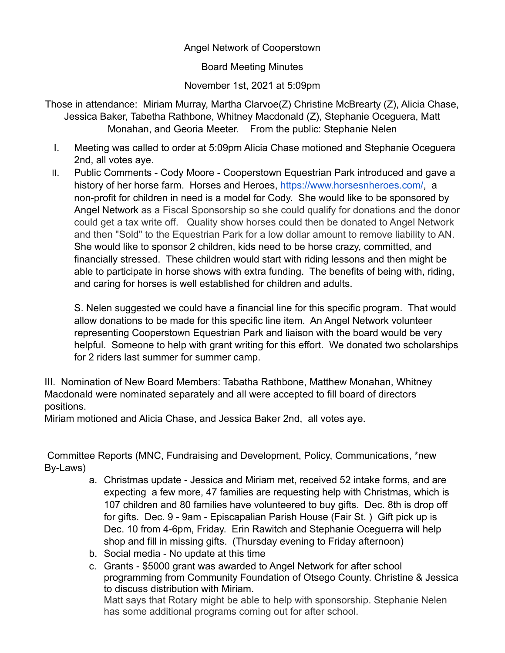## Angel Network of Cooperstown

Board Meeting Minutes

November 1st, 2021 at 5:09pm

Those in attendance: Miriam Murray, Martha Clarvoe(Z) Christine McBrearty (Z), Alicia Chase, Jessica Baker, Tabetha Rathbone, Whitney Macdonald (Z), Stephanie Oceguera, Matt Monahan, and Georia Meeter. From the public: Stephanie Nelen

- I. Meeting was called to order at 5:09pm Alicia Chase motioned and Stephanie Oceguera 2nd, all votes aye.
- II. Public Comments Cody Moore Cooperstown Equestrian Park introduced and gave a history of her horse farm. Horses and Heroes, [https://www.horsesnheroes.com/,](https://urldefense.proofpoint.com/v2/url?u=https-3A__www.horsesnheroes.com_&d=DwMFaQ&c=euGZstcaTDllvimEN8b7jXrwqOf-v5A_CdpgnVfiiMM&r=4OvpOWarauGtzIz1gc__zMiZ53eAkhM4tZvnzz5Pywc&m=cWy-KF1T5Yawf9OL-NPmbQM_xuO4KWBk6rcnHHKKKII&s=4CMjHxXW3jFLDqij2rlwWwZbFbI721p_7WYe7oLz8IA&e=) a non-profit for children in need is a model for Cody. She would like to be sponsored by Angel Network as a Fiscal Sponsorship so she could qualify for donations and the donor could get a tax write off. Quality show horses could then be donated to Angel Network and then "Sold" to the Equestrian Park for a low dollar amount to remove liability to AN. She would like to sponsor 2 children, kids need to be horse crazy, committed, and financially stressed. These children would start with riding lessons and then might be able to participate in horse shows with extra funding. The benefits of being with, riding, and caring for horses is well established for children and adults.

S. Nelen suggested we could have a financial line for this specific program. That would allow donations to be made for this specific line item. An Angel Network volunteer representing Cooperstown Equestrian Park and liaison with the board would be very helpful. Someone to help with grant writing for this effort. We donated two scholarships for 2 riders last summer for summer camp.

III. Nomination of New Board Members: Tabatha Rathbone, Matthew Monahan, Whitney Macdonald were nominated separately and all were accepted to fill board of directors positions.

Miriam motioned and Alicia Chase, and Jessica Baker 2nd, all votes aye.

Committee Reports (MNC, Fundraising and Development, Policy, Communications, \*new By-Laws)

- a. Christmas update Jessica and Miriam met, received 52 intake forms, and are expecting a few more, 47 families are requesting help with Christmas, which is 107 children and 80 families have volunteered to buy gifts. Dec. 8th is drop off for gifts. Dec. 9 - 9am - Episcapalian Parish House (Fair St. ) Gift pick up is Dec. 10 from 4-6pm, Friday. Erin Rawitch and Stephanie Oceguerra will help shop and fill in missing gifts. (Thursday evening to Friday afternoon)
- b. Social media No update at this time
- c. Grants \$5000 grant was awarded to Angel Network for after school programming from Community Foundation of Otsego County. Christine & Jessica to discuss distribution with Miriam. Matt says that Rotary might be able to help with sponsorship. Stephanie Nelen has some additional programs coming out for after school.